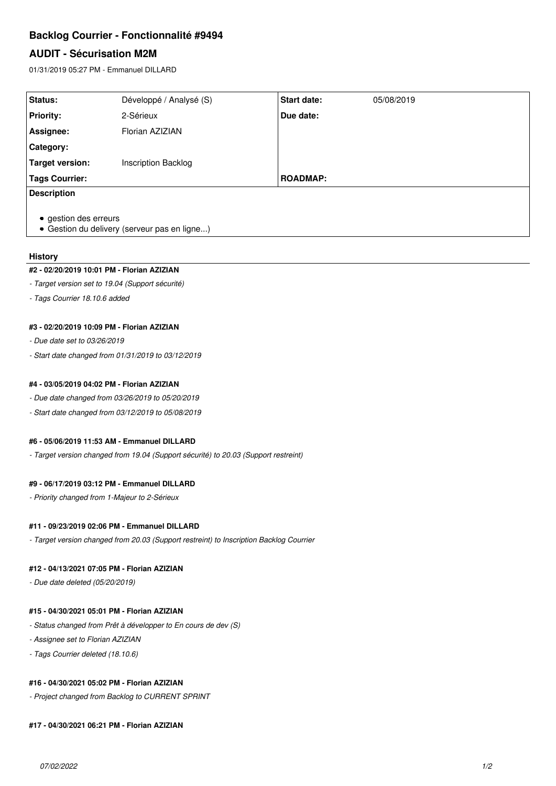# **Backlog Courrier - Fonctionnalité #9494**

# **AUDIT - Sécurisation M2M**

01/31/2019 05:27 PM - Emmanuel DILLARD

| <b>Status:</b>                                                        | Développé / Analysé (S)    | <b>Start date:</b> | 05/08/2019 |
|-----------------------------------------------------------------------|----------------------------|--------------------|------------|
| <b>Priority:</b>                                                      | 2-Sérieux                  | Due date:          |            |
| Assignee:                                                             | Florian AZIZIAN            |                    |            |
| <b>Category:</b>                                                      |                            |                    |            |
| Target version:                                                       | <b>Inscription Backlog</b> |                    |            |
| <b>Tags Courrier:</b>                                                 |                            | <b>ROADMAP:</b>    |            |
| <b>Description</b>                                                    |                            |                    |            |
| • gestion des erreurs<br>• Gestion du delivery (serveur pas en ligne) |                            |                    |            |

### **History**

#### **#2 - 02/20/2019 10:01 PM - Florian AZIZIAN**

- *Target version set to 19.04 (Support sécurité)*
- *Tags Courrier 18.10.6 added*

## **#3 - 02/20/2019 10:09 PM - Florian AZIZIAN**

- *Due date set to 03/26/2019*
- *Start date changed from 01/31/2019 to 03/12/2019*

## **#4 - 03/05/2019 04:02 PM - Florian AZIZIAN**

- *Due date changed from 03/26/2019 to 05/20/2019*
- *Start date changed from 03/12/2019 to 05/08/2019*

# **#6 - 05/06/2019 11:53 AM - Emmanuel DILLARD**

*- Target version changed from 19.04 (Support sécurité) to 20.03 (Support restreint)*

#### **#9 - 06/17/2019 03:12 PM - Emmanuel DILLARD**

*- Priority changed from 1-Majeur to 2-Sérieux*

### **#11 - 09/23/2019 02:06 PM - Emmanuel DILLARD**

*- Target version changed from 20.03 (Support restreint) to Inscription Backlog Courrier*

# **#12 - 04/13/2021 07:05 PM - Florian AZIZIAN**

*- Due date deleted (05/20/2019)*

### **#15 - 04/30/2021 05:01 PM - Florian AZIZIAN**

- *Status changed from Prêt à développer to En cours de dev (S)*
- *Assignee set to Florian AZIZIAN*
- *Tags Courrier deleted (18.10.6)*

# **#16 - 04/30/2021 05:02 PM - Florian AZIZIAN**

*- Project changed from Backlog to CURRENT SPRINT*

**#17 - 04/30/2021 06:21 PM - Florian AZIZIAN**